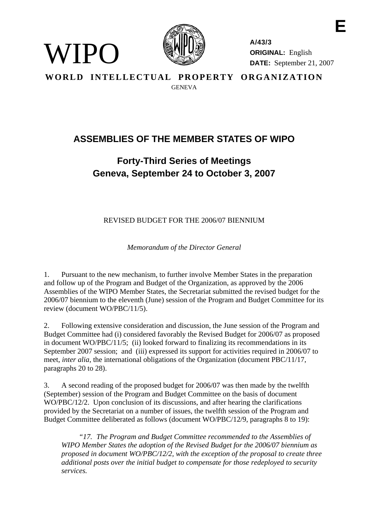

WIPO)

**A/43/3 ORIGINAL:** English **DATE:** September 21, 2007

**E** 

**WORLD INTELLECTUAL PROPERTY ORGANIZATION GENEVA** 

## **ASSEMBLIES OF THE MEMBER STATES OF WIPO**

## **Forty-Third Series of Meetings Geneva, September 24 to October 3, 2007**

REVISED BUDGET FOR THE 2006/07 BIENNIUM

*Memorandum of the Director General* 

1. Pursuant to the new mechanism, to further involve Member States in the preparation and follow up of the Program and Budget of the Organization, as approved by the 2006 Assemblies of the WIPO Member States, the Secretariat submitted the revised budget for the 2006/07 biennium to the eleventh (June) session of the Program and Budget Committee for its review (document WO/PBC/11/5).

2. Following extensive consideration and discussion, the June session of the Program and Budget Committee had (i) considered favorably the Revised Budget for 2006/07 as proposed in document WO/PBC/11/5; (ii) looked forward to finalizing its recommendations in its September 2007 session; and (iii) expressed its support for activities required in 2006/07 to meet, *inter alia*, the international obligations of the Organization (document PBC/11/17, paragraphs 20 to 28).

3. A second reading of the proposed budget for 2006/07 was then made by the twelfth (September) session of the Program and Budget Committee on the basis of document WO/PBC/12/2. Upon conclusion of its discussions, and after hearing the clarifications provided by the Secretariat on a number of issues, the twelfth session of the Program and Budget Committee deliberated as follows (document WO/PBC/12/9, paragraphs 8 to 19):

 *"17. The Program and Budget Committee recommended to the Assemblies of WIPO Member States the adoption of the Revised Budget for the 2006/07 biennium as proposed in document WO/PBC/12/2, with the exception of the proposal to create three additional posts over the initial budget to compensate for those redeployed to security services.*